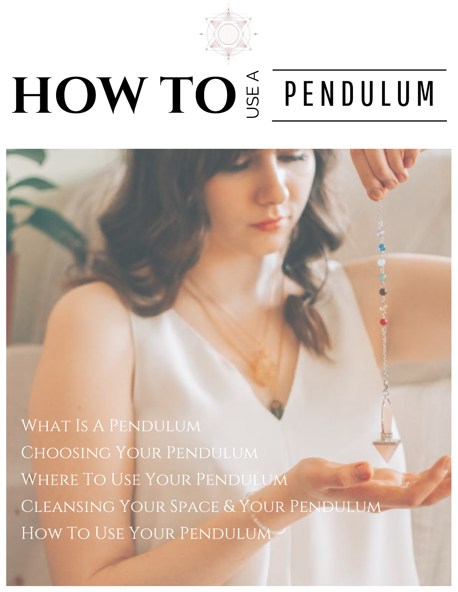

# HOW TO S PENDULUM

WHAT IS A PENDULUM Choosing Your Pendulum Where To Use Your Pendulum Cleansing Your Space & Your Pendulum How To Use Your Pendulum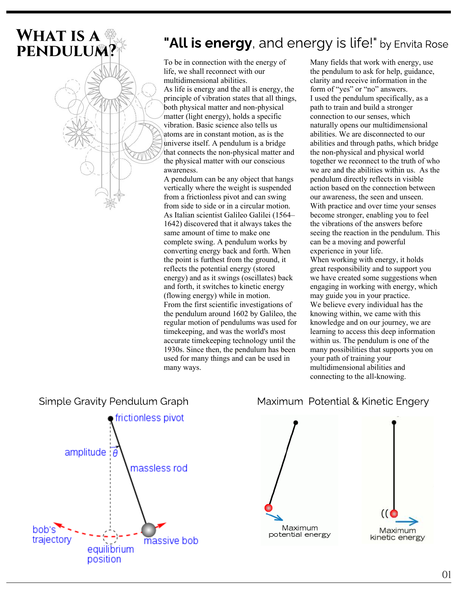# WHAT IS A

# **PENDULUM?** "All is energy, and energy is life!" by Envita Rose **PENDULUM?**

To be in connection with the energy of life, we shall reconnect with our multidimensional abilities. As life is energy and the all is energy, the principle of vibration states that all things, both physical matter and non-physical matter (light energy), holds a specific vibration. Basic science also tells us atoms are in constant motion, as is the universe itself. A pendulum is a bridge that connects the non-physical matter and the physical matter with our conscious awareness.

A pendulum can be any object that hangs vertically where the weight is suspended from a frictionless pivot and can swing from side to side or in a circular motion. As Italian scientist Galileo Galilei (1564– 1642) discovered that it always takes the same amount of time to make one complete swing. A pendulum works by converting energy back and forth. When the point is furthest from the ground, it reflects the potential energy (stored energy) and as it swings (oscillates) back and forth, it switches to kinetic energy (flowing energy) while in motion. From the first scientific investigations of the pendulum around 1602 by Galileo, the regular motion of pendulums was used for timekeeping, and was the world's most accurate timekeeping technology until the 1930s. Since then, the pendulum has been used for many things and can be used in many ways.

Many fields that work with energy, use the pendulum to ask for help, guidance, clarity and receive information in the form of "yes" or "no" answers. I used the pendulum specifically, as a path to train and build a stronger connection to our senses, which naturally opens our multidimensional abilities. We are disconnected to our abilities and through paths, which bridge the non-physical and physical world together we reconnect to the truth of who we are and the abilities within us. As the pendulum directly reflects in visible action based on the connection between our awareness, the seen and unseen. With practice and over time your senses become stronger, enabling you to feel the vibrations of the answers before seeing the reaction in the pendulum. This can be a moving and powerful experience in your life. When working with energy, it holds great responsibility and to support you we have created some suggestions when

engaging in working with energy, which may guide you in your practice. We believe every individual has the knowing within, we came with this knowledge and on our journey, we are learning to access this deep information within us. The pendulum is one of the many possibilities that supports you on your path of training your multidimensional abilities and connecting to the all-knowing.





Maximum

kinetic energy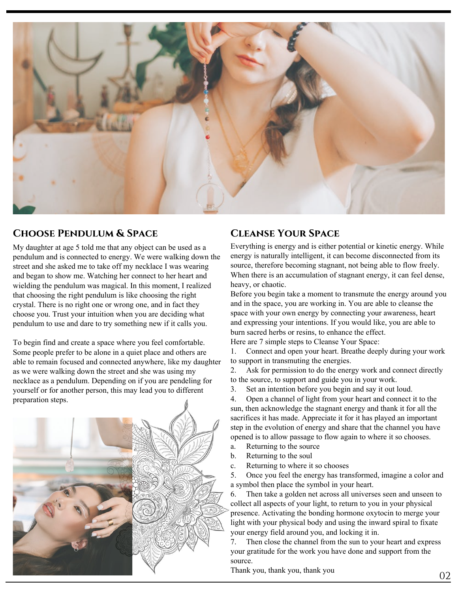

#### CHOOSE PENDULUM & SPACE CLEANSE YOUR SPACE

My daughter at age 5 told me that any object can be used as a pendulum and is connected to energy. We were walking down the street and she asked me to take off my necklace I was wearing and began to show me. Watching her connect to her heart and wielding the pendulum was magical. In this moment, I realized that choosing the right pendulum is like choosing the right crystal. There is no right one or wrong one, and in fact they choose you. Trust your intuition when you are deciding what pendulum to use and dare to try something new if it calls you.

To begin find and create a space where you feel comfortable. Some people prefer to be alone in a quiet place and others are able to remain focused and connected anywhere, like my daughter as we were walking down the street and she was using my necklace as a pendulum. Depending on if you are pendeling for yourself or for another person, this may lead you to different preparation steps.



Everything is energy and is either potential or kinetic energy. While energy is naturally intelligent, it can become disconnected from its source, therefore becoming stagnant, not being able to flow freely. When there is an accumulation of stagnant energy, it can feel dense, heavy, or chaotic.

Before you begin take a moment to transmute the energy around you and in the space, you are working in. You are able to cleanse the space with your own energy by connecting your awareness, heart and expressing your intentions. If you would like, you are able to burn sacred herbs or resins, to enhance the effect. Here are 7 simple steps to Cleanse Your Space:

1. Connect and open your heart. Breathe deeply during your work to support in transmuting the energies.

2. Ask for permission to do the energy work and connect directly to the source, to support and guide you in your work.

3. Set an intention before you begin and say it out loud.

4. Open a channel of light from your heart and connect it to the sun, then acknowledge the stagnant energy and thank it for all the sacrifices it has made. Appreciate it for it has played an important step in the evolution of energy and share that the channel you have opened is to allow passage to flow again to where it so chooses.

- a. Returning to the source
- b. Returning to the soul
- c. Returning to where it so chooses

5. Once you feel the energy has transformed, imagine a color and a symbol then place the symbol in your heart.

6. Then take a golden net across all universes seen and unseen to collect all aspects of your light, to return to you in your physical presence. Activating the bonding hormone oxytocin to merge your light with your physical body and using the inward spiral to fixate your energy field around you, and locking it in.

7. Then close the channel from the sun to your heart and express your gratitude for the work you have done and support from the source.

Thank you, thank you, thank you  $02$